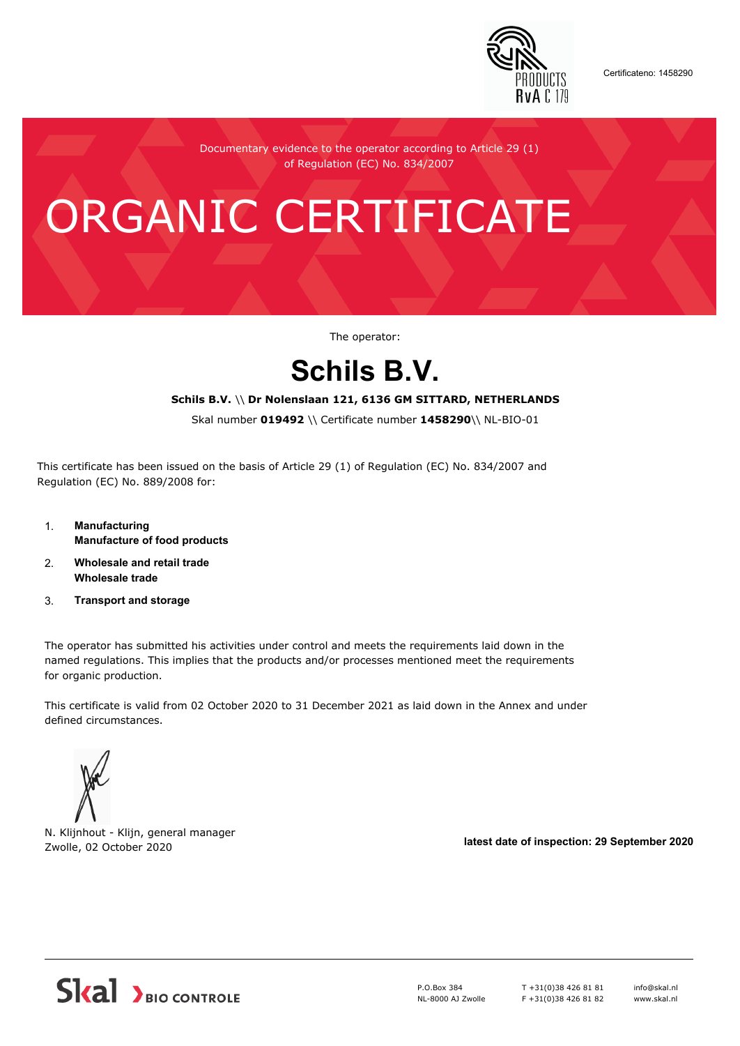

Certificateno: 1458290

Documentary evidence to the operator according to Article 29 (1) of Regulation (EC) No. 834/2007

# ORGANIC CERTIFICATE

The operator:

## **Schils B.V.**

#### **Schils B.V.** \\ **Dr Nolenslaan 121, 6136 GM SITTARD, NETHERLANDS**

Skal number **019492** \\ Certificate number **1458290**\\ NL-BIO-01

This certificate has been issued on the basis of Article 29 (1) of Regulation (EC) No. 834/2007 and Regulation (EC) No. 889/2008 for:

- 1. **Manufacturing Manufacture of food products**
- 2. **Wholesale and retail trade Wholesale trade**
- 3. **Transport and storage**

The operator has submitted his activities under control and meets the requirements laid down in the named regulations. This implies that the products and/or processes mentioned meet the requirements for organic production.

This certificate is valid from 02 October 2020 to 31 December 2021 as laid down in the Annex and under defined circumstances.



N. Klijnhout - Klijn, general manager Zwolle, 02 October 2020 **latest date of inspection: 29 September 2020**



P.O.Box 384 NL-8000 AJ Zwolle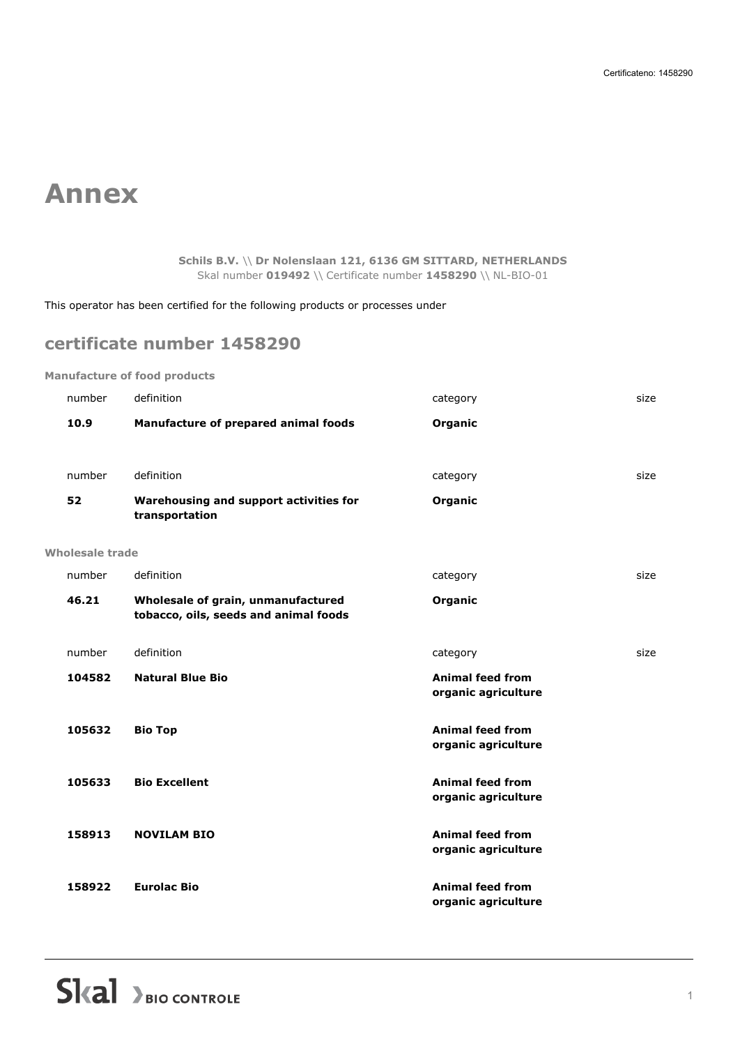## **Annex**

**Schils B.V.** \\ **Dr Nolenslaan 121, 6136 GM SITTARD, NETHERLANDS** Skal number **019492** \\ Certificate number **1458290** \\ NL-BIO-01

This operator has been certified for the following products or processes under

### **certificate number 1458290**

#### **Manufacture of food products**

| number          | definition                                                                  | category                                       | size |
|-----------------|-----------------------------------------------------------------------------|------------------------------------------------|------|
| 10.9            | Manufacture of prepared animal foods                                        | Organic                                        |      |
|                 |                                                                             |                                                |      |
| number          | definition                                                                  | category                                       | size |
| 52              | Warehousing and support activities for<br>transportation                    | Organic                                        |      |
| Wholesale trade |                                                                             |                                                |      |
| number          | definition                                                                  | category                                       | size |
| 46.21           | Wholesale of grain, unmanufactured<br>tobacco, oils, seeds and animal foods | Organic                                        |      |
| number          | definition                                                                  | category                                       | size |
| 104582          | <b>Natural Blue Bio</b>                                                     | <b>Animal feed from</b><br>organic agriculture |      |
| 105632          | <b>Bio Top</b>                                                              | <b>Animal feed from</b><br>organic agriculture |      |
| 105633          | <b>Bio Excellent</b>                                                        | <b>Animal feed from</b><br>organic agriculture |      |
| 158913          | <b>NOVILAM BIO</b>                                                          | <b>Animal feed from</b><br>organic agriculture |      |
| 158922          | <b>Eurolac Bio</b>                                                          | <b>Animal feed from</b><br>organic agriculture |      |